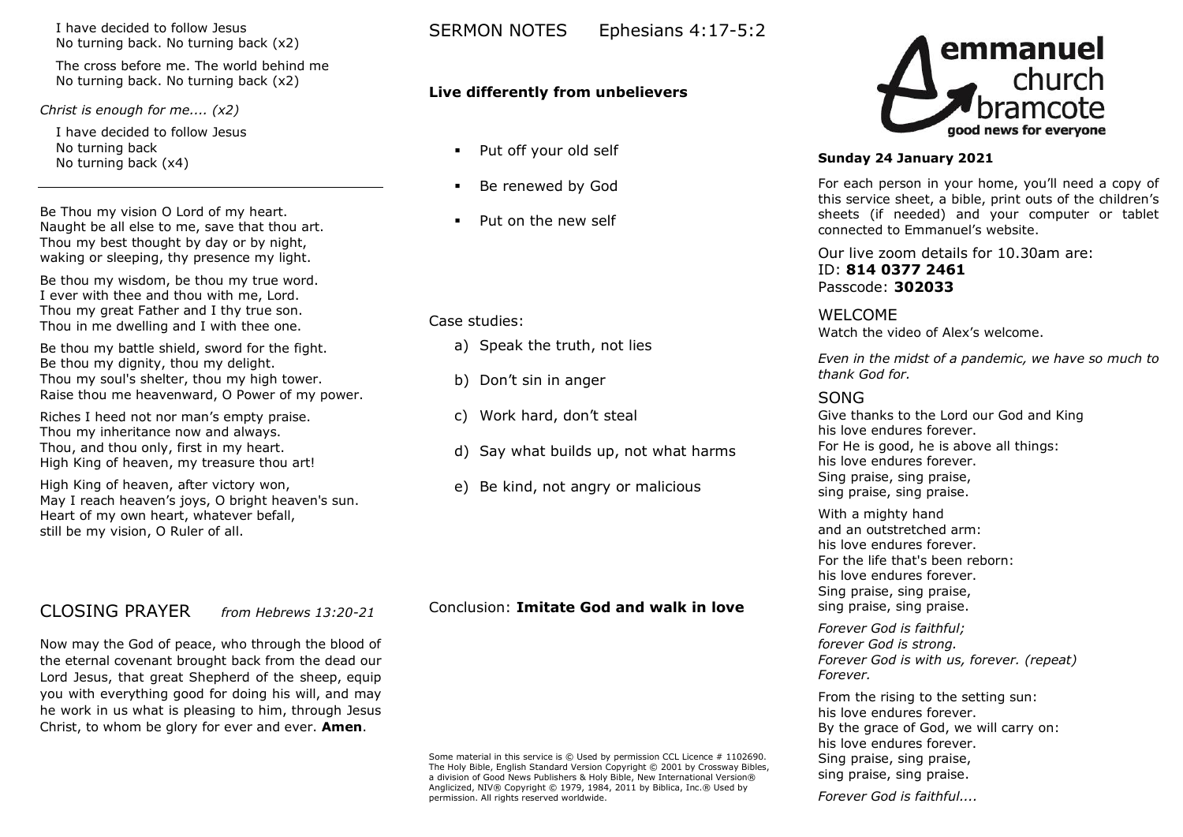I have decided to follow Jesus No turning back. No turning back (x2)

The cross before me. The world behind me No turning back. No turning back (x2)

*Christ is enough for me.... (x2)*

I have decided to follow Jesus No turning back No turning back (x4)

Be Thou my vision O Lord of my heart. Naught be all else to me, save that thou art. Thou my best thought by day or by night, waking or sleeping, thy presence my light.

Be thou my wisdom, be thou my true word. I ever with thee and thou with me, Lord. Thou my great Father and I thy true son. Thou in me dwelling and I with thee one.

Be thou my battle shield, sword for the fight. Be thou my dignity, thou my delight. Thou my soul's shelter, thou my high tower. Raise thou me heavenward, O Power of my power.

Riches I heed not nor man's empty praise. Thou my inheritance now and always. Thou, and thou only, first in my heart. High King of heaven, my treasure thou art!

High King of heaven, after victory won, May I reach heaven's joys, O bright heaven's sun. Heart of my own heart, whatever befall, still be my vision, O Ruler of all.

# CLOSING PRAYER *from Hebrews 13:20-21*

Now may the God of peace, who through the blood of the eternal covenant brought back from the dead our Lord Jesus, that great Shepherd of the sheep, equip you with everything good for doing his will, and may he work in us what is pleasing to him, through Jesus Christ, to whom be glory for ever and ever. **Amen**.

## SERMON NOTES Ephesians 4:17-5:2

#### **Live differently from unbelievers**

- Put off your old self
- Be renewed by God
- Put on the new self

Case studies:

- a) Speak the truth, not lies
- b) Don't sin in anger
- c) Work hard, don't steal
- d) Say what builds up, not what harms
- e) Be kind, not angry or malicious

#### Conclusion: **Imitate God and walk in love**

Some material in this service is © Used by permission CCL Licence # 1102690. The Holy Bible, English Standard Version Copyright © 2001 by Crossway Bibles, a division of Good News Publishers & Holy Bible, New International Version® Anglicized, NIV® Copyright © 1979, 1984, 2011 by Biblica, Inc.® Used by permission. All rights reserved worldwide.



#### **Sunday 24 January 2021**

For each person in your home, you'll need a copy of this service sheet, a bible, print outs of the children's sheets (if needed) and your computer or tablet connected to Emmanuel's website.

Our live zoom details for 10.30am are: ID: **814 0377 2461** Passcode: **302033**

WELCOME Watch the video of Alex's welcome.

*Even in the midst of a pandemic, we have so much to thank God for.*

## SONG

Give thanks to the Lord our God and King his love endures forever. For He is good, he is above all things: his love endures forever. Sing praise, sing praise, sing praise, sing praise.

With a mighty hand and an outstretched arm: his love endures forever. For the life that's been reborn: his love endures forever. Sing praise, sing praise, sing praise, sing praise.

*Forever God is faithful; forever God is strong. Forever God is with us, forever. (repeat) Forever.*

From the rising to the setting sun: his love endures forever. By the grace of God, we will carry on: his love endures forever. Sing praise, sing praise, sing praise, sing praise.

*Forever God is faithful....*